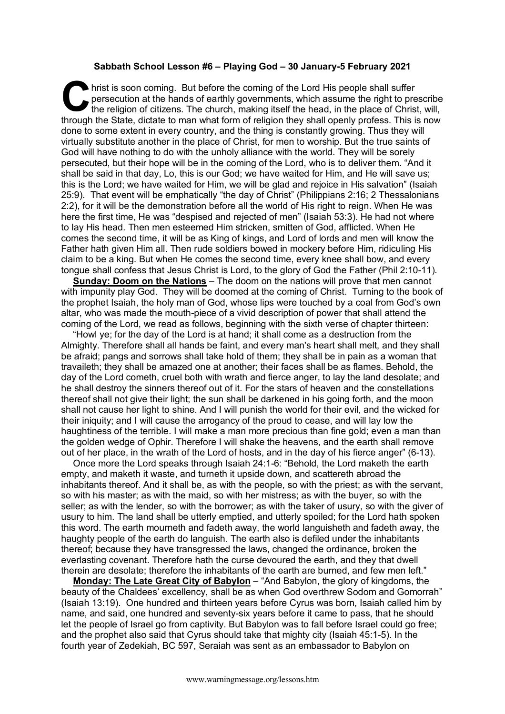## **Sabbath School Lesson #6 – Playing God – 30 January-5 February 2021**

hrist is soon coming. But before the coming of the Lord His people shall suffer persecution at the hands of earthly governments, which assume the right to prethe religion of citizens. The church, making itself the head, in persecution at the hands of earthly governments, which assume the right to prescribe the religion of citizens. The church, making itself the head, in the place of Christ, will, through the State, dictate to man what form of religion they shall openly profess. This is now done to some extent in every country, and the thing is constantly growing. Thus they will virtually substitute another in the place of Christ, for men to worship. But the true saints of God will have nothing to do with the unholy alliance with the world. They will be sorely persecuted, but their hope will be in the coming of the Lord, who is to deliver them. "And it shall be said in that day, Lo, this is our God; we have waited for Him, and He will save us; this is the Lord; we have waited for Him, we will be glad and rejoice in His salvation" (Isaiah 25:9). That event will be emphatically "the day of Christ" (Philippians 2:16; 2 Thessalonians 2:2), for it will be the demonstration before all the world of His right to reign. When He was here the first time, He was "despised and rejected of men" (Isaiah 53:3). He had not where to lay His head. Then men esteemed Him stricken, smitten of God, afflicted. When He comes the second time, it will be as King of kings, and Lord of lords and men will know the Father hath given Him all. Then rude soldiers bowed in mockery before Him, ridiculing His claim to be a king. But when He comes the second time, every knee shall bow, and every tongue shall confess that Jesus Christ is Lord, to the glory of God the Father (Phil 2:10-11).

**Sunday: Doom on the Nations** – The doom on the nations will prove that men cannot with impunity play God. They will be doomed at the coming of Christ. Turning to the book of the prophet Isaiah, the holy man of God, whose lips were touched by a coal from God's own altar, who was made the mouth-piece of a vivid description of power that shall attend the coming of the Lord, we read as follows, beginning with the sixth verse of chapter thirteen:

"Howl ye; for the day of the Lord is at hand; it shall come as a destruction from the Almighty. Therefore shall all hands be faint, and every man's heart shall melt, and they shall be afraid; pangs and sorrows shall take hold of them; they shall be in pain as a woman that travaileth; they shall be amazed one at another; their faces shall be as flames. Behold, the day of the Lord cometh, cruel both with wrath and fierce anger, to lay the land desolate; and he shall destroy the sinners thereof out of it. For the stars of heaven and the constellations thereof shall not give their light; the sun shall be darkened in his going forth, and the moon shall not cause her light to shine. And I will punish the world for their evil, and the wicked for their iniquity; and I will cause the arrogancy of the proud to cease, and will lay low the haughtiness of the terrible. I will make a man more precious than fine gold; even a man than the golden wedge of Ophir. Therefore I will shake the heavens, and the earth shall remove out of her place, in the wrath of the Lord of hosts, and in the day of his fierce anger" (6-13).

Once more the Lord speaks through Isaiah 24:1-6: "Behold, the Lord maketh the earth empty, and maketh it waste, and turneth it upside down, and scattereth abroad the inhabitants thereof. And it shall be, as with the people, so with the priest; as with the servant, so with his master; as with the maid, so with her mistress; as with the buyer, so with the seller; as with the lender, so with the borrower; as with the taker of usury, so with the giver of usury to him. The land shall be utterly emptied, and utterly spoiled; for the Lord hath spoken this word. The earth mourneth and fadeth away, the world languisheth and fadeth away, the haughty people of the earth do languish. The earth also is defiled under the inhabitants thereof; because they have transgressed the laws, changed the ordinance, broken the everlasting covenant. Therefore hath the curse devoured the earth, and they that dwell therein are desolate; therefore the inhabitants of the earth are burned, and few men left."

**Monday: The Late Great City of Babylon** – "And Babylon, the glory of kingdoms, the beauty of the Chaldees' excellency, shall be as when God overthrew Sodom and Gomorrah" (Isaiah 13:19). One hundred and thirteen years before Cyrus was born, Isaiah called him by name, and said, one hundred and seventy-six years before it came to pass, that he should let the people of Israel go from captivity. But Babylon was to fall before Israel could go free; and the prophet also said that Cyrus should take that mighty city (Isaiah 45:1-5). In the fourth year of Zedekiah, BC 597, Seraiah was sent as an embassador to Babylon on